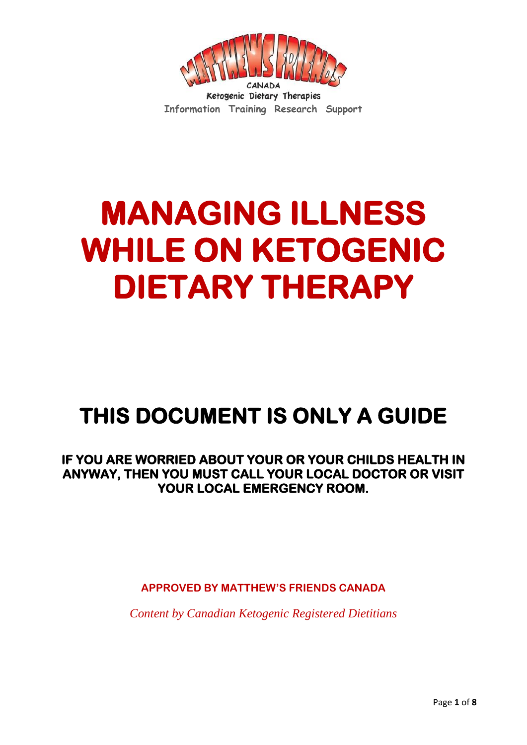

# **MANAGING ILLNESS WHILE ON KETOGENIC DIETARY THERAPY**

# **THIS DOCUMENT IS ONLY A GUIDE**

#### **IF YOU ARE WORRIED ABOUT YOUR OR YOUR CHILDS HEALTH IN ANYWAY, THEN YOU MUST CALL YOUR LOCAL DOCTOR OR VISIT YOUR LOCAL EMERGENCY ROOM.**

**APPROVED BY MATTHEW'S FRIENDS CANADA**

*Content by Canadian Ketogenic Registered Dietitians*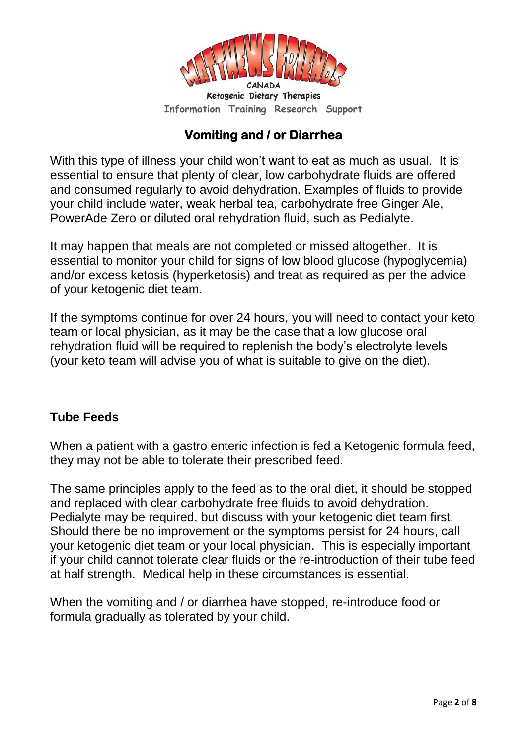

# **Vomiting and / or Diarrhea**

With this type of illness your child won't want to eat as much as usual. It is essential to ensure that plenty of clear, low carbohydrate fluids are offered and consumed regularly to avoid dehydration. Examples of fluids to provide your child include water, weak herbal tea, carbohydrate free Ginger Ale, PowerAde Zero or diluted oral rehydration fluid, such as Pedialyte.

It may happen that meals are not completed or missed altogether. It is essential to monitor your child for signs of low blood glucose (hypoglycemia) and/or excess ketosis (hyperketosis) and treat as required as per the advice of your ketogenic diet team.

If the symptoms continue for over 24 hours, you will need to contact your keto team or local physician, as it may be the case that a low glucose oral rehydration fluid will be required to replenish the body's electrolyte levels (your keto team will advise you of what is suitable to give on the diet).

#### **Tube Feeds**

When a patient with a gastro enteric infection is fed a Ketogenic formula feed, they may not be able to tolerate their prescribed feed.

The same principles apply to the feed as to the oral diet, it should be stopped and replaced with clear carbohydrate free fluids to avoid dehydration. Pedialyte may be required, but discuss with your ketogenic diet team first. Should there be no improvement or the symptoms persist for 24 hours, call your ketogenic diet team or your local physician. This is especially important if your child cannot tolerate clear fluids or the re-introduction of their tube feed at half strength. Medical help in these circumstances is essential.

When the vomiting and / or diarrhea have stopped, re-introduce food or formula gradually as tolerated by your child.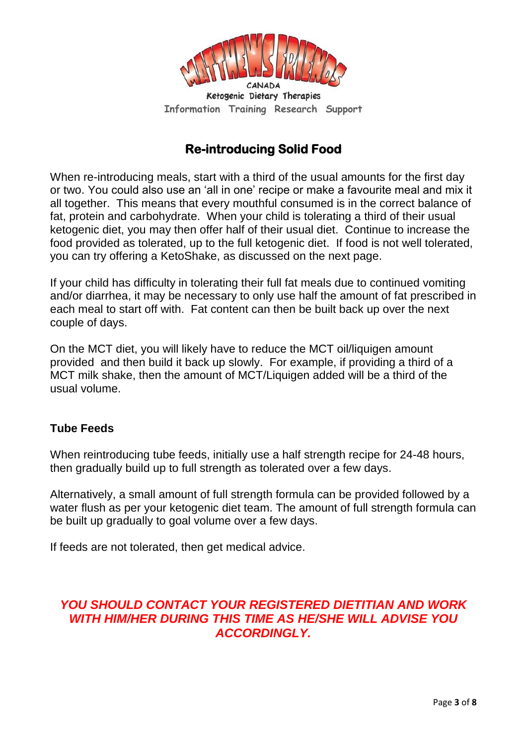

# **Re-introducing Solid Food**

When re-introducing meals, start with a third of the usual amounts for the first day or two. You could also use an 'all in one' recipe or make a favourite meal and mix it all together. This means that every mouthful consumed is in the correct balance of fat, protein and carbohydrate. When your child is tolerating a third of their usual ketogenic diet, you may then offer half of their usual diet. Continue to increase the food provided as tolerated, up to the full ketogenic diet. If food is not well tolerated, you can try offering a KetoShake, as discussed on the next page.

If your child has difficulty in tolerating their full fat meals due to continued vomiting and/or diarrhea, it may be necessary to only use half the amount of fat prescribed in each meal to start off with. Fat content can then be built back up over the next couple of days.

On the MCT diet, you will likely have to reduce the MCT oil/liquigen amount provided and then build it back up slowly. For example, if providing a third of a MCT milk shake, then the amount of MCT/Liquigen added will be a third of the usual volume.

#### **Tube Feeds**

When reintroducing tube feeds, initially use a half strength recipe for 24-48 hours, then gradually build up to full strength as tolerated over a few days.

Alternatively, a small amount of full strength formula can be provided followed by a water flush as per your ketogenic diet team. The amount of full strength formula can be built up gradually to goal volume over a few days.

If feeds are not tolerated, then get medical advice.

#### *YOU SHOULD CONTACT YOUR REGISTERED DIETITIAN AND WORK WITH HIM/HER DURING THIS TIME AS HE/SHE WILL ADVISE YOU ACCORDINGLY.*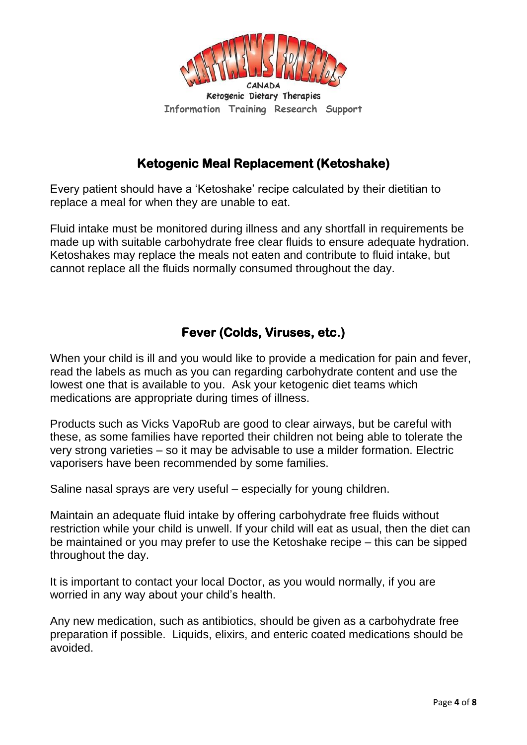

#### **Ketogenic Meal Replacement (Ketoshake)**

Every patient should have a 'Ketoshake' recipe calculated by their dietitian to replace a meal for when they are unable to eat.

Fluid intake must be monitored during illness and any shortfall in requirements be made up with suitable carbohydrate free clear fluids to ensure adequate hydration. Ketoshakes may replace the meals not eaten and contribute to fluid intake, but cannot replace all the fluids normally consumed throughout the day.

# **Fever (Colds, Viruses, etc.)**

When your child is ill and you would like to provide a medication for pain and fever, read the labels as much as you can regarding carbohydrate content and use the lowest one that is available to you. Ask your ketogenic diet teams which medications are appropriate during times of illness.

Products such as Vicks VapoRub are good to clear airways, but be careful with these, as some families have reported their children not being able to tolerate the very strong varieties – so it may be advisable to use a milder formation. Electric vaporisers have been recommended by some families.

Saline nasal sprays are very useful – especially for young children.

Maintain an adequate fluid intake by offering carbohydrate free fluids without restriction while your child is unwell. If your child will eat as usual, then the diet can be maintained or you may prefer to use the Ketoshake recipe – this can be sipped throughout the day.

It is important to contact your local Doctor, as you would normally, if you are worried in any way about your child's health.

Any new medication, such as antibiotics, should be given as a carbohydrate free preparation if possible. Liquids, elixirs, and enteric coated medications should be avoided.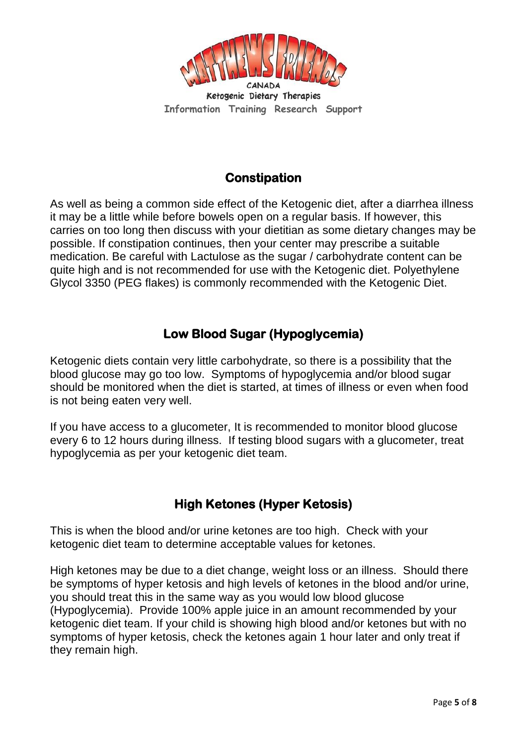

# **Constipation**

As well as being a common side effect of the Ketogenic diet, after a diarrhea illness it may be a little while before bowels open on a regular basis. If however, this carries on too long then discuss with your dietitian as some dietary changes may be possible. If constipation continues, then your center may prescribe a suitable medication. Be careful with Lactulose as the sugar / carbohydrate content can be quite high and is not recommended for use with the Ketogenic diet. Polyethylene Glycol 3350 (PEG flakes) is commonly recommended with the Ketogenic Diet.

#### **Low Blood Sugar (Hypoglycemia)**

Ketogenic diets contain very little carbohydrate, so there is a possibility that the blood glucose may go too low. Symptoms of hypoglycemia and/or blood sugar should be monitored when the diet is started, at times of illness or even when food is not being eaten very well.

If you have access to a glucometer, It is recommended to monitor blood glucose every 6 to 12 hours during illness. If testing blood sugars with a glucometer, treat hypoglycemia as per your ketogenic diet team.

# **High Ketones (Hyper Ketosis)**

This is when the blood and/or urine ketones are too high. Check with your ketogenic diet team to determine acceptable values for ketones.

High ketones may be due to a diet change, weight loss or an illness. Should there be symptoms of hyper ketosis and high levels of ketones in the blood and/or urine, you should treat this in the same way as you would low blood glucose (Hypoglycemia). Provide 100% apple juice in an amount recommended by your ketogenic diet team. If your child is showing high blood and/or ketones but with no symptoms of hyper ketosis, check the ketones again 1 hour later and only treat if they remain high.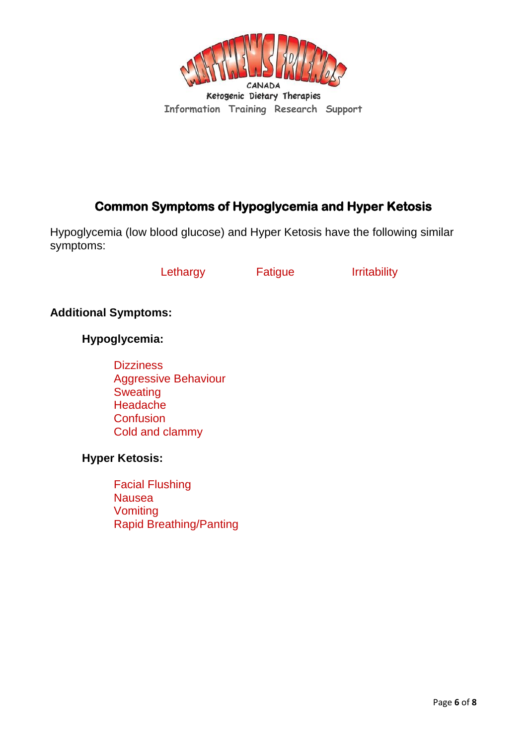

# **Common Symptoms of Hypoglycemia and Hyper Ketosis**

Hypoglycemia (low blood glucose) and Hyper Ketosis have the following similar symptoms:

Lethargy **Fatigue** Irritability

**Additional Symptoms:**

**Hypoglycemia:**

**Dizziness** Aggressive Behaviour **Sweating** Headache **Confusion** Cold and clammy

**Hyper Ketosis:**

Facial Flushing Nausea Vomiting Rapid Breathing/Panting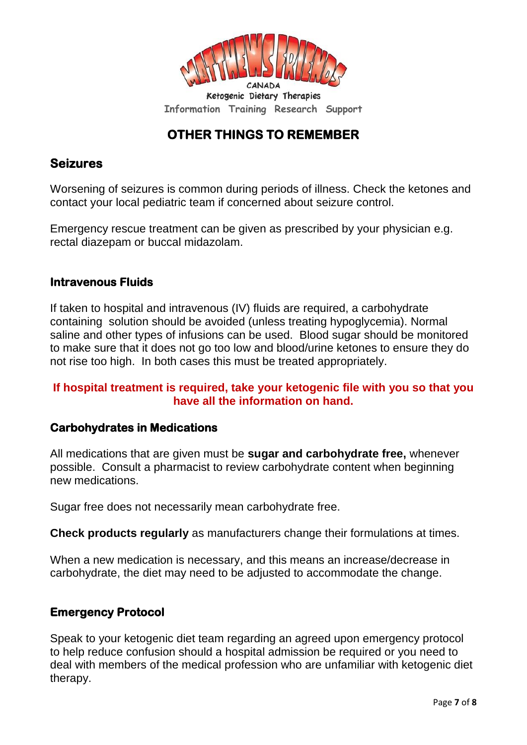

# **OTHER THINGS TO REMEMBER**

#### **Seizures**

Worsening of seizures is common during periods of illness. Check the ketones and contact your local pediatric team if concerned about seizure control.

Emergency rescue treatment can be given as prescribed by your physician e.g. rectal diazepam or buccal midazolam.

#### **Intravenous Fluids**

If taken to hospital and intravenous (IV) fluids are required, a carbohydrate containing solution should be avoided (unless treating hypoglycemia). Normal saline and other types of infusions can be used. Blood sugar should be monitored to make sure that it does not go too low and blood/urine ketones to ensure they do not rise too high. In both cases this must be treated appropriately.

#### **If hospital treatment is required, take your ketogenic file with you so that you have all the information on hand.**

#### **Carbohydrates in Medications**

All medications that are given must be **sugar and carbohydrate free,** whenever possible. Consult a pharmacist to review carbohydrate content when beginning new medications.

Sugar free does not necessarily mean carbohydrate free.

**Check products regularly** as manufacturers change their formulations at times.

When a new medication is necessary, and this means an increase/decrease in carbohydrate, the diet may need to be adjusted to accommodate the change.

#### **Emergency Protocol**

Speak to your ketogenic diet team regarding an agreed upon emergency protocol to help reduce confusion should a hospital admission be required or you need to deal with members of the medical profession who are unfamiliar with ketogenic diet therapy.